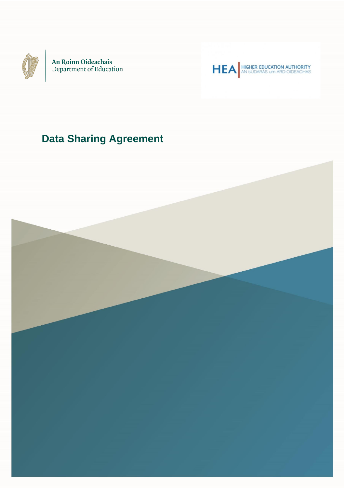

An Roinn Oideachais<br>Department of Education

HEA HIGHER EDUCATION AUTHORITY

# **Data Sharing Agreement**

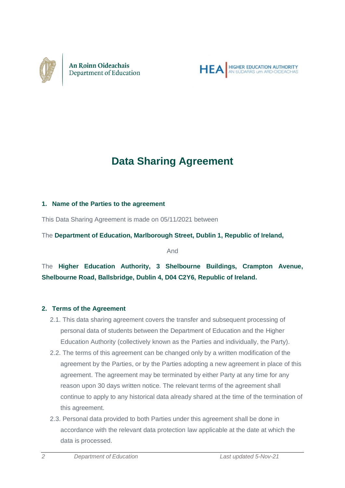



# **Data Sharing Agreement**

#### **1. Name of the Parties to the agreement**

This Data Sharing Agreement is made on 05/11/2021 between

The **Department of Education, Marlborough Street, Dublin 1, Republic of Ireland,** 

And

The **Higher Education Authority, 3 Shelbourne Buildings, Crampton Avenue, Shelbourne Road, Ballsbridge, Dublin 4, D04 C2Y6, Republic of Ireland.**

#### **2. Terms of the Agreement**

- 2.1. This data sharing agreement covers the transfer and subsequent processing of personal data of students between the Department of Education and the Higher Education Authority (collectively known as the Parties and individually, the Party).
- 2.2. The terms of this agreement can be changed only by a written modification of the agreement by the Parties, or by the Parties adopting a new agreement in place of this agreement. The agreement may be terminated by either Party at any time for any reason upon 30 days written notice. The relevant terms of the agreement shall continue to apply to any historical data already shared at the time of the termination of this agreement.
- 2.3. Personal data provided to both Parties under this agreement shall be done in accordance with the relevant data protection law applicable at the date at which the data is processed.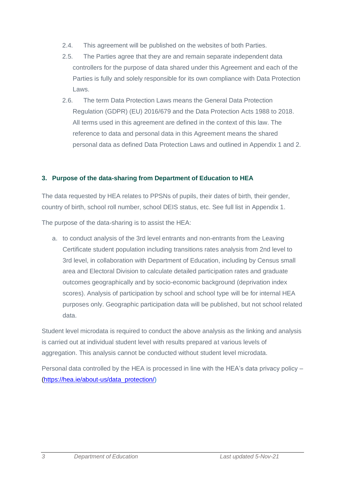- 2.4. This agreement will be published on the websites of both Parties.
- 2.5. The Parties agree that they are and remain separate independent data controllers for the purpose of data shared under this Agreement and each of the Parties is fully and solely responsible for its own compliance with Data Protection Laws.
- 2.6. The term Data Protection Laws means the General Data Protection Regulation (GDPR) (EU) 2016/679 and the Data Protection Acts 1988 to 2018. All terms used in this agreement are defined in the context of this law. The reference to data and personal data in this Agreement means the shared personal data as defined Data Protection Laws and outlined in Appendix 1 and 2.

#### **3. Purpose of the data-sharing from Department of Education to HEA**

The data requested by HEA relates to PPSNs of pupils, their dates of birth, their gender, country of birth, school roll number, school DEIS status, etc. See full list in Appendix 1.

The purpose of the data-sharing is to assist the HEA:

a. to conduct analysis of the 3rd level entrants and non-entrants from the Leaving Certificate student population including transitions rates analysis from 2nd level to 3rd level, in collaboration with Department of Education, including by Census small area and Electoral Division to calculate detailed participation rates and graduate outcomes geographically and by socio-economic background (deprivation index scores). Analysis of participation by school and school type will be for internal HEA purposes only. Geographic participation data will be published, but not school related data.

Student level microdata is required to conduct the above analysis as the linking and analysis is carried out at individual student level with results prepared at various levels of aggregation. This analysis cannot be conducted without student level microdata.

Personal data controlled by the HEA is processed in line with the HEA's data privacy policy – [\(https://hea.ie/about-us/data\\_protection/\)](https://hea.ie/about-us/data_protection/)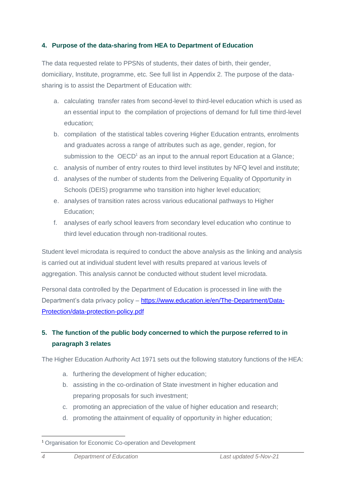## **4. Purpose of the data-sharing from HEA to Department of Education**

The data requested relate to PPSNs of students, their dates of birth, their gender, domiciliary, Institute, programme, etc. See full list in Appendix 2. The purpose of the datasharing is to assist the Department of Education with:

- a. calculating transfer rates from second-level to third-level education which is used as an essential input to the compilation of projections of demand for full time third-level education;
- b. compilation of the statistical tables covering Higher Education entrants, enrolments and graduates across a range of attributes such as age, gender, region, for submission to the  $OECD<sup>1</sup>$  as an input to the annual report Education at a Glance;
- c. analysis of number of entry routes to third level institutes by NFQ level and institute;
- d. analyses of the number of students from the Delivering Equality of Opportunity in Schools (DEIS) programme who transition into higher level education;
- e. analyses of transition rates across various educational pathways to Higher Education;
- f. analyses of early school leavers from secondary level education who continue to third level education through non-traditional routes.

Student level microdata is required to conduct the above analysis as the linking and analysis is carried out at individual student level with results prepared at various levels of aggregation. This analysis cannot be conducted without student level microdata.

Personal data controlled by the Department of Education is processed in line with the Department's data privacy policy – [https://www.education.ie/en/The-Department/Data-](https://www.education.ie/en/The-Department/Data-Protection/data-protection-policy.pdf)[Protection/data-protection-policy.pdf](https://www.education.ie/en/The-Department/Data-Protection/data-protection-policy.pdf)

# **5. The function of the public body concerned to which the purpose referred to in paragraph 3 relates**

The Higher Education Authority Act 1971 sets out the following statutory functions of the HEA:

- a. furthering the development of higher education;
- b. assisting in the co-ordination of State investment in higher education and preparing proposals for such investment;
- c. promoting an appreciation of the value of higher education and research;
- d. promoting the attainment of equality of opportunity in higher education;

<sup>&</sup>lt;sup>1</sup> Organisation for Economic Co-operation and Development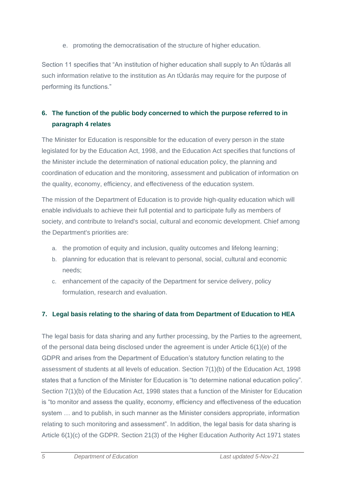e. promoting the democratisation of the structure of higher education.

Section 11 specifies that "An institution of higher education shall supply to An tÚdarás all such information relative to the institution as An tÚdarás may require for the purpose of performing its functions."

# **6. The function of the public body concerned to which the purpose referred to in paragraph 4 relates**

The Minister for Education is responsible for the education of every person in the state legislated for by the Education Act, 1998, and the Education Act specifies that functions of the Minister include the determination of national education policy, the planning and coordination of education and the monitoring, assessment and publication of information on the quality, economy, efficiency, and effectiveness of the education system.

The mission of the Department of Education is to provide high-quality education which will enable individuals to achieve their full potential and to participate fully as members of society, and contribute to Ireland's social, cultural and economic development. Chief among the Department's priorities are:

- a. the promotion of equity and inclusion, quality outcomes and lifelong learning;
- b. planning for education that is relevant to personal, social, cultural and economic needs;
- c. enhancement of the capacity of the Department for service delivery, policy formulation, research and evaluation.

# **7. Legal basis relating to the sharing of data from Department of Education to HEA**

The legal basis for data sharing and any further processing, by the Parties to the agreement, of the personal data being disclosed under the agreement is under Article 6(1)(e) of the GDPR and arises from the Department of Education's statutory function relating to the assessment of students at all levels of education. Section 7(1)(b) of the Education Act, 1998 states that a function of the Minister for Education is "to determine national education policy". Section 7(1)(b) of the Education Act, 1998 states that a function of the Minister for Education is "to monitor and assess the quality, economy, efficiency and effectiveness of the education system … and to publish, in such manner as the Minister considers appropriate, information relating to such monitoring and assessment". In addition, the legal basis for data sharing is Article 6(1)(c) of the GDPR. Section 21(3) of the Higher Education Authority Act 1971 states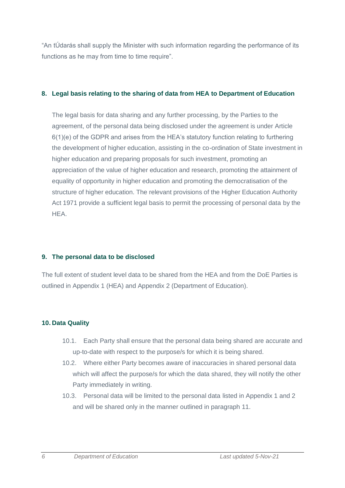"An tÚdarás shall supply the Minister with such information regarding the performance of its functions as he may from time to time require".

#### **8. Legal basis relating to the sharing of data from HEA to Department of Education**

The legal basis for data sharing and any further processing, by the Parties to the agreement, of the personal data being disclosed under the agreement is under Article 6(1)(e) of the GDPR and arises from the HEA's statutory function relating to furthering the development of higher education, assisting in the co-ordination of State investment in higher education and preparing proposals for such investment, promoting an appreciation of the value of higher education and research, promoting the attainment of equality of opportunity in higher education and promoting the democratisation of the structure of higher education. The relevant provisions of the Higher Education Authority Act 1971 provide a sufficient legal basis to permit the processing of personal data by the HEA.

## **9. The personal data to be disclosed**

The full extent of student level data to be shared from the HEA and from the DoE Parties is outlined in Appendix 1 (HEA) and Appendix 2 (Department of Education).

# **10. Data Quality**

- 10.1. Each Party shall ensure that the personal data being shared are accurate and up-to-date with respect to the purpose/s for which it is being shared.
- 10.2. Where either Party becomes aware of inaccuracies in shared personal data which will affect the purpose/s for which the data shared, they will notify the other Party immediately in writing.
- 10.3. Personal data will be limited to the personal data listed in Appendix 1 and 2 and will be shared only in the manner outlined in paragraph 11.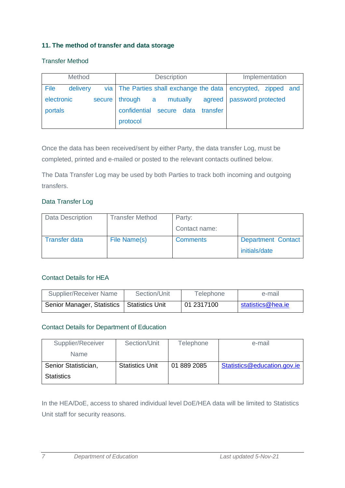#### **11. The method of transfer and data storage**

#### Transfer Method

| Method     |          |        | <b>Description</b>                                            |          | Implementation              |  |  |
|------------|----------|--------|---------------------------------------------------------------|----------|-----------------------------|--|--|
| File       | delivery |        | via The Parties shall exchange the data encrypted, zipped and |          |                             |  |  |
| electronic |          | secure | mutually<br>through a                                         |          | agreed   password protected |  |  |
| portals    |          |        | confidential secure data                                      | transfer |                             |  |  |
|            |          |        | protocol                                                      |          |                             |  |  |

Once the data has been received/sent by either Party, the data transfer Log, must be completed, printed and e-mailed or posted to the relevant contacts outlined below.

The Data Transfer Log may be used by both Parties to track both incoming and outgoing transfers.

#### Data Transfer Log

| <b>Data Description</b> | <b>Transfer Method</b> | Party:          |                           |
|-------------------------|------------------------|-----------------|---------------------------|
|                         |                        | Contact name:   |                           |
| <b>Transfer data</b>    | File Name(s)           | <b>Comments</b> | <b>Department Contact</b> |
|                         |                        |                 | initials/date             |

#### Contact Details for HEA

| Supplier/Receiver Name                       | Section/Unit | Telephone  | e-mail            |
|----------------------------------------------|--------------|------------|-------------------|
| Senior Manager, Statistics   Statistics Unit |              | 01 2317100 | statistics@hea.ie |

#### Contact Details for Department of Education

| Supplier/Receiver    | Section/Unit           | Telephone   | e-mail                      |
|----------------------|------------------------|-------------|-----------------------------|
| <b>Name</b>          |                        |             |                             |
| Senior Statistician, | <b>Statistics Unit</b> | 01 889 2085 | Statistics@education.gov.ie |
| <b>Statistics</b>    |                        |             |                             |

In the HEA/DoE, access to shared individual level DoE/HEA data will be limited to Statistics Unit staff for security reasons.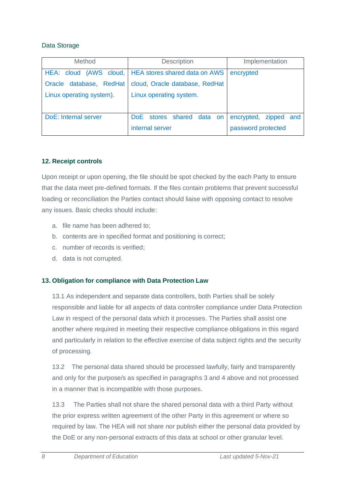#### Data Storage

| <b>Method</b>            | <b>Description</b>                                     | Implementation           |  |
|--------------------------|--------------------------------------------------------|--------------------------|--|
|                          | HEA: cloud (AWS cloud,   HEA stores shared data on AWS | encrypted                |  |
| Oracle database, RedHat  | cloud, Oracle database, RedHat                         |                          |  |
| Linux operating system). | Linux operating system.                                |                          |  |
|                          |                                                        |                          |  |
| DoE: Internal server     | DoE stores shared data on                              | encrypted,<br>zipped and |  |
|                          | internal server                                        | password protected       |  |

#### **12. Receipt controls**

Upon receipt or upon opening, the file should be spot checked by the each Party to ensure that the data meet pre-defined formats. If the files contain problems that prevent successful loading or reconciliation the Parties contact should liaise with opposing contact to resolve any issues. Basic checks should include:

- a. file name has been adhered to;
- b. contents are in specified format and positioning is correct;
- c. number of records is verified;
- d. data is not corrupted.

## **13. Obligation for compliance with Data Protection Law**

13.1 As independent and separate data controllers, both Parties shall be solely responsible and liable for all aspects of data controller compliance under Data Protection Law in respect of the personal data which it processes. The Parties shall assist one another where required in meeting their respective compliance obligations in this regard and particularly in relation to the effective exercise of data subject rights and the security of processing.

13.2 The personal data shared should be processed lawfully, fairly and transparently and only for the purpose/s as specified in paragraphs 3 and 4 above and not processed in a manner that is incompatible with those purposes.

13.3 The Parties shall not share the shared personal data with a third Party without the prior express written agreement of the other Party in this agreement or where so required by law. The HEA will not share nor publish either the personal data provided by the DoE or any non-personal extracts of this data at school or other granular level.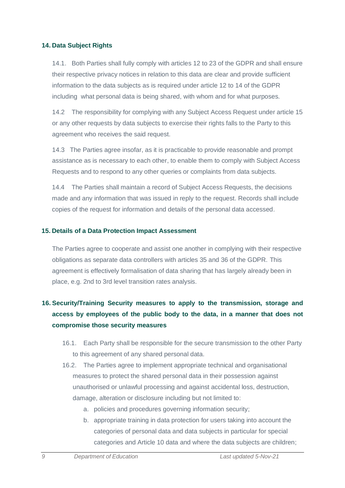#### **14. Data Subject Rights**

14.1. Both Parties shall fully comply with articles 12 to 23 of the GDPR and shall ensure their respective privacy notices in relation to this data are clear and provide sufficient information to the data subjects as is required under article 12 to 14 of the GDPR including what personal data is being shared, with whom and for what purposes.

14.2 The responsibility for complying with any Subject Access Request under article 15 or any other requests by data subjects to exercise their rights falls to the Party to this agreement who receives the said request.

14.3 The Parties agree insofar, as it is practicable to provide reasonable and prompt assistance as is necessary to each other, to enable them to comply with Subject Access Requests and to respond to any other queries or complaints from data subjects.

14.4 The Parties shall maintain a record of Subject Access Requests, the decisions made and any information that was issued in reply to the request. Records shall include copies of the request for information and details of the personal data accessed.

#### **15. Details of a Data Protection Impact Assessment**

The Parties agree to cooperate and assist one another in complying with their respective obligations as separate data controllers with articles 35 and 36 of the GDPR. This agreement is effectively formalisation of data sharing that has largely already been in place, e.g. 2nd to 3rd level transition rates analysis.

# **16. Security/Training Security measures to apply to the transmission, storage and access by employees of the public body to the data, in a manner that does not compromise those security measures**

- 16.1. Each Party shall be responsible for the secure transmission to the other Party to this agreement of any shared personal data.
- 16.2. The Parties agree to implement appropriate technical and organisational measures to protect the shared personal data in their possession against unauthorised or unlawful processing and against accidental loss, destruction, damage, alteration or disclosure including but not limited to:
	- a. policies and procedures governing information security;
	- b. appropriate training in data protection for users taking into account the categories of personal data and data subjects in particular for special categories and Article 10 data and where the data subjects are children;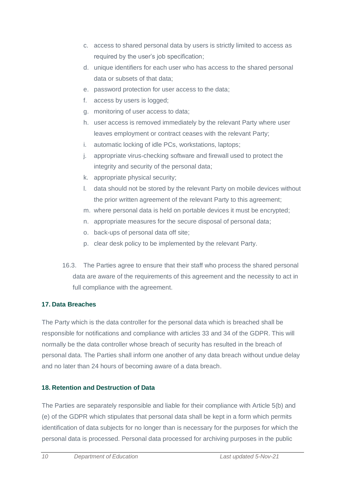- c. access to shared personal data by users is strictly limited to access as required by the user's job specification;
- d. unique identifiers for each user who has access to the shared personal data or subsets of that data;
- e. password protection for user access to the data;
- f. access by users is logged:
- g. monitoring of user access to data;
- h. user access is removed immediately by the relevant Party where user leaves employment or contract ceases with the relevant Party;
- i. automatic locking of idle PCs, workstations, laptops;
- j. appropriate virus-checking software and firewall used to protect the integrity and security of the personal data;
- k. appropriate physical security;
- l. data should not be stored by the relevant Party on mobile devices without the prior written agreement of the relevant Party to this agreement;
- m. where personal data is held on portable devices it must be encrypted;
- n. appropriate measures for the secure disposal of personal data;
- o. back-ups of personal data off site;
- p. clear desk policy to be implemented by the relevant Party.
- 16.3. The Parties agree to ensure that their staff who process the shared personal data are aware of the requirements of this agreement and the necessity to act in full compliance with the agreement.

# **17. Data Breaches**

The Party which is the data controller for the personal data which is breached shall be responsible for notifications and compliance with articles 33 and 34 of the GDPR. This will normally be the data controller whose breach of security has resulted in the breach of personal data. The Parties shall inform one another of any data breach without undue delay and no later than 24 hours of becoming aware of a data breach.

# **18. Retention and Destruction of Data**

The Parties are separately responsible and liable for their compliance with Article 5(b) and (e) of the GDPR which stipulates that personal data shall be kept in a form which permits identification of data subjects for no longer than is necessary for the purposes for which the personal data is processed. Personal data processed for archiving purposes in the public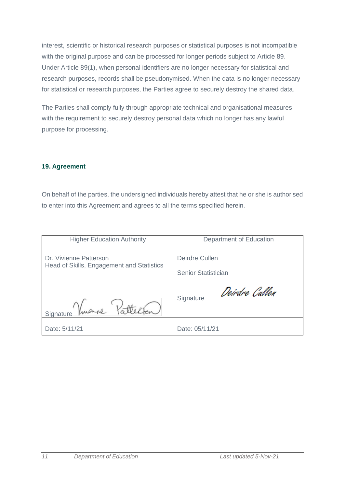interest, scientific or historical research purposes or statistical purposes is not incompatible with the original purpose and can be processed for longer periods subject to Article 89. Under Article 89(1), when personal identifiers are no longer necessary for statistical and research purposes, records shall be pseudonymised. When the data is no longer necessary for statistical or research purposes, the Parties agree to securely destroy the shared data.

The Parties shall comply fully through appropriate technical and organisational measures with the requirement to securely destroy personal data which no longer has any lawful purpose for processing.

#### **19. Agreement**

On behalf of the parties, the undersigned individuals hereby attest that he or she is authorised to enter into this Agreement and agrees to all the terms specified herein.

| <b>Higher Education Authority</b>         | Department of Education    |  |
|-------------------------------------------|----------------------------|--|
| Dr. Vivienne Patterson                    | Deirdre Cullen             |  |
| Head of Skills, Engagement and Statistics | <b>Senior Statistician</b> |  |
| Vattelsen                                 | Deirdre Callen             |  |
| Signature Vinen                           | Signature                  |  |
| Date: 5/11/21                             | Date: 05/11/21             |  |